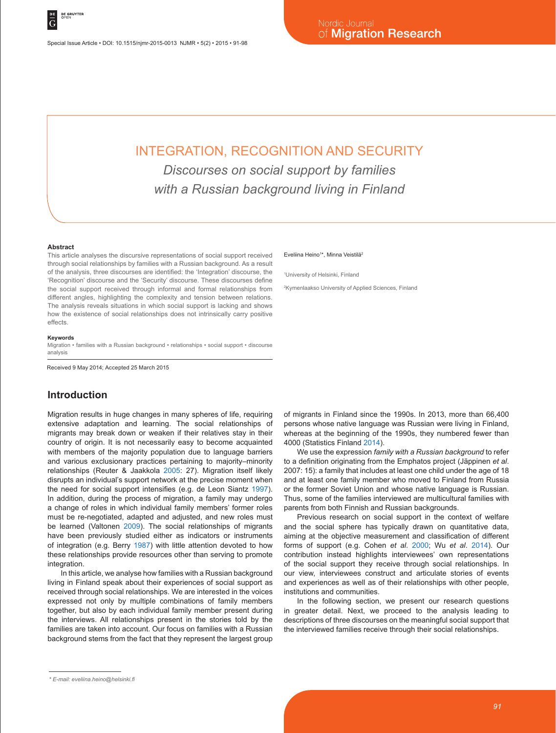Special Issue Article • DOI: 10.1515/njmr-2015-0013 NJMR • 5(2) • 2015 • 91-98

# INTEGRATION, RECOGNITION AND SECURITY *Discourses on social support by families with a Russian background living in Finland*

#### **Abstract**

This article analyses the discursive representations of social support received through social relationships by families with a Russian background. As a result of the analysis, three discourses are identified: the 'Integration' discourse, the 'Recognition' discourse and the 'Security' discourse. These discourses define the social support received through informal and formal relationships from different angles, highlighting the complexity and tension between relations. The analysis reveals situations in which social support is lacking and shows how the existence of social relationships does not intrinsically carry positive effects.

#### **Keywords**

Migration • families with a Russian background • relationships • social support • discourse analysis

Received 9 May 2014; Accepted 25 March 2015

## **Introduction**

Migration results in huge changes in many spheres of life, requiring extensive adaptation and learning. The social relationships of migrants may break down or weaken if their relatives stay in their country of origin. It is not necessarily easy to become acquainted with members of the majority population due to language barriers and various exclusionary practices pertaining to majority–minority relationships (Reuter & Jaakkola 2005: 27). Migration itself likely disrupts an individual's support network at the precise moment when the need for social support intensifies (e.g. de Leon Siantz 1997). In addition, during the process of migration, a family may undergo a change of roles in which individual family members' former roles must be re-negotiated, adapted and adjusted, and new roles must be learned (Valtonen 2009). The social relationships of migrants have been previously studied either as indicators or instruments of integration (e.g. Berry 1987) with little attention devoted to how these relationships provide resources other than serving to promote integration.

In this article, we analyse how families with a Russian background living in Finland speak about their experiences of social support as received through social relationships. We are interested in the voices expressed not only by multiple combinations of family members together, but also by each individual family member present during the interviews. All relationships present in the stories told by the families are taken into account. Our focus on families with a Russian background stems from the fact that they represent the largest group

#### Eveliina Heino<sup>1\*</sup>, Minna Veistilä<sup>2</sup>

1 University of Helsinki, Finland

2 Kymenlaakso University of Applied Sciences, Finland

of migrants in Finland since the 1990s. In 2013, more than 66,400 persons whose native language was Russian were living in Finland, whereas at the beginning of the 1990s, they numbered fewer than 4000 (Statistics Finland 2014).

We use the expression *family with a Russian background* to refer to a definition originating from the Emphatos project (Jäppinen *et al*. 2007: 15): a family that includes at least one child under the age of 18 and at least one family member who moved to Finland from Russia or the former Soviet Union and whose native language is Russian. Thus, some of the families interviewed are multicultural families with parents from both Finnish and Russian backgrounds.

Previous research on social support in the context of welfare and the social sphere has typically drawn on quantitative data, aiming at the objective measurement and classification of different forms of support (e.g. Cohen *et al*. 2000; Wu *et al*. 2014). Our contribution instead highlights interviewees' own representations of the social support they receive through social relationships. In our view, interviewees construct and articulate stories of events and experiences as well as of their relationships with other people, institutions and communities.

In the following section, we present our research questions in greater detail. Next, we proceed to the analysis leading to descriptions of three discourses on the meaningful social support that the interviewed families receive through their social relationships.

*<sup>\*</sup> E-mail: eveliina.heino@helsinki.fi*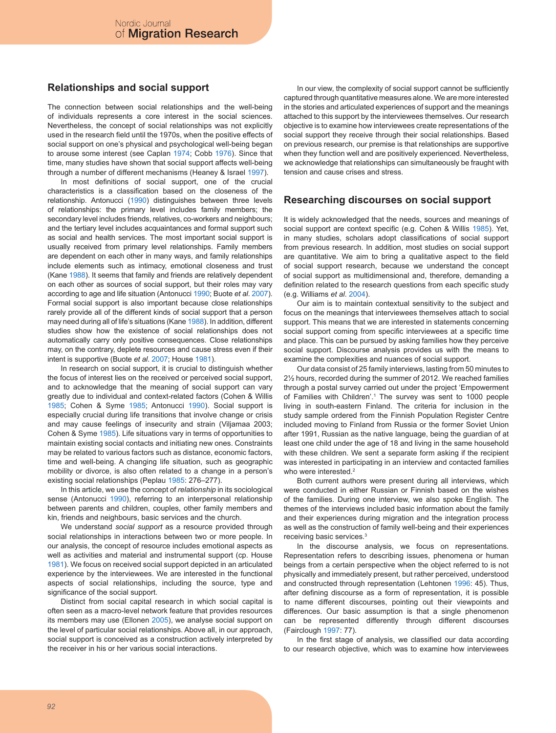## **Relationships and social support**

The connection between social relationships and the well-being of individuals represents a core interest in the social sciences. Nevertheless, the concept of social relationships was not explicitly used in the research field until the 1970s, when the positive effects of social support on one's physical and psychological well-being began to arouse some interest (see Caplan 1974; Cobb 1976). Since that time, many studies have shown that social support affects well-being through a number of different mechanisms (Heaney & Israel 1997).

In most definitions of social support, one of the crucial characteristics is a classification based on the closeness of the relationship. Antonucci (1990) distinguishes between three levels of relationships: the primary level includes family members; the secondary level includes friends, relatives, co-workers and neighbours; and the tertiary level includes acquaintances and formal support such as social and health services. The most important social support is usually received from primary level relationships. Family members are dependent on each other in many ways, and family relationships include elements such as intimacy, emotional closeness and trust (Kane 1988). It seems that family and friends are relatively dependent on each other as sources of social support, but their roles may vary according to age and life situation (Antonucci 1990; Buote *et al*. 2007). Formal social support is also important because close relationships rarely provide all of the different kinds of social support that a person may need during all of life's situations (Kane 1988). In addition, different studies show how the existence of social relationships does not automatically carry only positive consequences. Close relationships may, on the contrary, deplete resources and cause stress even if their intent is supportive (Buote *et al*. 2007; House 1981).

In research on social support, it is crucial to distinguish whether the focus of interest lies on the received or perceived social support, and to acknowledge that the meaning of social support can vary greatly due to individual and context-related factors (Cohen & Willis 1985; Cohen & Syme 1985; Antonucci 1990). Social support is especially crucial during life transitions that involve change or crisis and may cause feelings of insecurity and strain (Viljamaa 2003; Cohen & Syme 1985). Life situations vary in terms of opportunities to maintain existing social contacts and initiating new ones. Constraints may be related to various factors such as distance, economic factors, time and well-being. A changing life situation, such as geographic mobility or divorce, is also often related to a change in a person's existing social relationships (Peplau 1985: 276–277).

In this article, we use the concept of *relationship* in its sociological sense (Antonucci 1990), referring to an interpersonal relationship between parents and children, couples, other family members and kin, friends and neighbours, basic services and the church.

We understand *social support* as a resource provided through social relationships in interactions between two or more people. In our analysis, the concept of resource includes emotional aspects as well as activities and material and instrumental support (cp. House 1981). We focus on received social support depicted in an articulated experience by the interviewees. We are interested in the functional aspects of social relationships, including the source, type and significance of the social support.

Distinct from social capital research in which social capital is often seen as a macro-level network feature that provides resources its members may use (Ellonen 2005), we analyse social support on the level of particular social relationships. Above all, in our approach, social support is conceived as a construction actively interpreted by the receiver in his or her various social interactions.

In our view, the complexity of social support cannot be sufficiently captured through quantitative measures alone. We are more interested in the stories and articulated experiences of support and the meanings attached to this support by the interviewees themselves. Our research objective is to examine how interviewees create representations of the social support they receive through their social relationships. Based on previous research, our premise is that relationships are supportive when they function well and are positively experienced. Nevertheless, we acknowledge that relationships can simultaneously be fraught with tension and cause crises and stress.

### **Researching discourses on social support**

It is widely acknowledged that the needs, sources and meanings of social support are context specific (e.g. Cohen & Willis 1985). Yet, in many studies, scholars adopt classifications of social support from previous research. In addition, most studies on social support are quantitative. We aim to bring a qualitative aspect to the field of social support research, because we understand the concept of social support as multidimensional and, therefore, demanding a definition related to the research questions from each specific study (e.g. Williams *et al*. 2004).

Our aim is to maintain contextual sensitivity to the subject and focus on the meanings that interviewees themselves attach to social support. This means that we are interested in statements concerning social support coming from specific interviewees at a specific time and place. This can be pursued by asking families how they perceive social support. Discourse analysis provides us with the means to examine the complexities and nuances of social support.

Our data consist of 25 family interviews, lasting from 50 minutes to 2½ hours, recorded during the summer of 2012. We reached families through a postal survey carried out under the project 'Empowerment of Families with Children'.1 The survey was sent to 1000 people living in south-eastern Finland. The criteria for inclusion in the study sample ordered from the Finnish Population Register Centre included moving to Finland from Russia or the former Soviet Union after 1991, Russian as the native language, being the guardian of at least one child under the age of 18 and living in the same household with these children. We sent a separate form asking if the recipient was interested in participating in an interview and contacted families who were interested.<sup>2</sup>

Both current authors were present during all interviews, which were conducted in either Russian or Finnish based on the wishes of the families. During one interview, we also spoke English. The themes of the interviews included basic information about the family and their experiences during migration and the integration process as well as the construction of family well-being and their experiences receiving basic services.3

In the discourse analysis, we focus on representations. Representation refers to describing issues, phenomena or human beings from a certain perspective when the object referred to is not physically and immediately present, but rather perceived, understood and constructed through representation (Lehtonen 1996: 45). Thus, after defining discourse as a form of representation, it is possible to name different discourses, pointing out their viewpoints and differences. Our basic assumption is that a single phenomenon can be represented differently through different discourses (Fairclough 1997: 77).

In the first stage of analysis, we classified our data according to our research objective, which was to examine how interviewees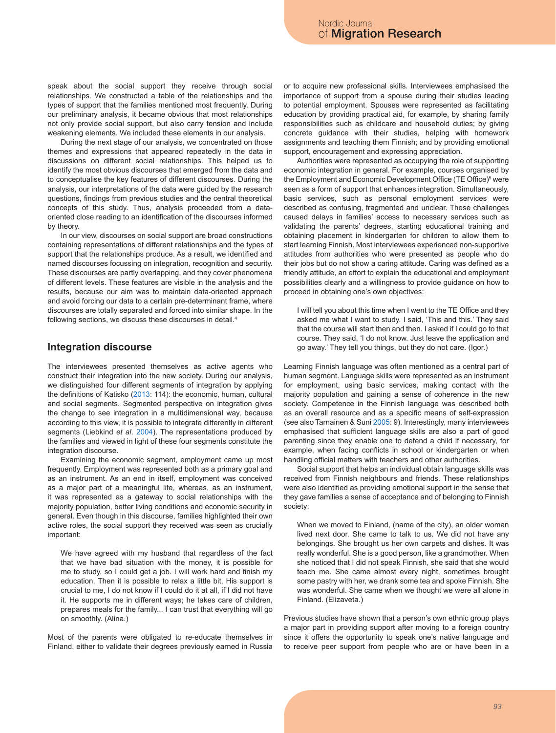speak about the social support they receive through social relationships. We constructed a table of the relationships and the types of support that the families mentioned most frequently. During our preliminary analysis, it became obvious that most relationships not only provide social support, but also carry tension and include weakening elements. We included these elements in our analysis.

During the next stage of our analysis, we concentrated on those themes and expressions that appeared repeatedly in the data in discussions on different social relationships. This helped us to identify the most obvious discourses that emerged from the data and to conceptualise the key features of different discourses. During the analysis, our interpretations of the data were guided by the research questions, findings from previous studies and the central theoretical concepts of this study. Thus, analysis proceeded from a dataoriented close reading to an identification of the discourses informed by theory.

In our view, discourses on social support are broad constructions containing representations of different relationships and the types of support that the relationships produce. As a result, we identified and named discourses focussing on integration, recognition and security. These discourses are partly overlapping, and they cover phenomena of different levels. These features are visible in the analysis and the results, because our aim was to maintain data-oriented approach and avoid forcing our data to a certain pre-determinant frame, where discourses are totally separated and forced into similar shape. In the following sections, we discuss these discourses in detail.<sup>4</sup>

### **Integration discourse**

The interviewees presented themselves as active agents who construct their integration into the new society. During our analysis, we distinguished four different segments of integration by applying the definitions of Katisko (2013: 114): the economic, human, cultural and social segments. Segmented perspective on integration gives the change to see integration in a multidimensional way, because according to this view, it is possible to integrate differently in different segments (Liebkind *et al*. 2004). The representations produced by the families and viewed in light of these four segments constitute the integration discourse.

Examining the economic segment, employment came up most frequently. Employment was represented both as a primary goal and as an instrument. As an end in itself, employment was conceived as a major part of a meaningful life, whereas, as an instrument, it was represented as a gateway to social relationships with the majority population, better living conditions and economic security in general. Even though in this discourse, families highlighted their own active roles, the social support they received was seen as crucially important:

We have agreed with my husband that regardless of the fact that we have bad situation with the money, it is possible for me to study, so I could get a job. I will work hard and finish my education. Then it is possible to relax a little bit. His support is crucial to me, I do not know if I could do it at all, if I did not have it. He supports me in different ways; he takes care of children, prepares meals for the family... I can trust that everything will go on smoothly. (Alina.)

Most of the parents were obligated to re-educate themselves in Finland, either to validate their degrees previously earned in Russia or to acquire new professional skills. Interviewees emphasised the importance of support from a spouse during their studies leading to potential employment. Spouses were represented as facilitating education by providing practical aid, for example, by sharing family responsibilities such as childcare and household duties; by giving concrete guidance with their studies, helping with homework assignments and teaching them Finnish; and by providing emotional support, encouragement and expressing appreciation.

Authorities were represented as occupying the role of supporting economic integration in general. For example, courses organised by the Employment and Economic Development Office (TE Office)<sup>5</sup> were seen as a form of support that enhances integration. Simultaneously, basic services, such as personal employment services were described as confusing, fragmented and unclear. These challenges caused delays in families' access to necessary services such as validating the parents' degrees, starting educational training and obtaining placement in kindergarten for children to allow them to start learning Finnish. Most interviewees experienced non-supportive attitudes from authorities who were presented as people who do their jobs but do not show a caring attitude. Caring was defined as a friendly attitude, an effort to explain the educational and employment possibilities clearly and a willingness to provide guidance on how to proceed in obtaining one's own objectives:

I will tell you about this time when I went to the TE Office and they asked me what I want to study. I said, 'This and this.' They said that the course will start then and then. I asked if I could go to that course. They said, 'I do not know. Just leave the application and go away.' They tell you things, but they do not care. (Igor.)

Learning Finnish language was often mentioned as a central part of human segment. Language skills were represented as an instrument for employment, using basic services, making contact with the majority population and gaining a sense of coherence in the new society. Competence in the Finnish language was described both as an overall resource and as a specific means of self-expression (see also Tarnainen & Suni 2005: 9). Interestingly, many interviewees emphasised that sufficient language skills are also a part of good parenting since they enable one to defend a child if necessary, for example, when facing conflicts in school or kindergarten or when handling official matters with teachers and other authorities.

Social support that helps an individual obtain language skills was received from Finnish neighbours and friends. These relationships were also identified as providing emotional support in the sense that they gave families a sense of acceptance and of belonging to Finnish society:

When we moved to Finland, (name of the city), an older woman lived next door. She came to talk to us. We did not have any belongings. She brought us her own carpets and dishes. It was really wonderful. She is a good person, like a grandmother. When she noticed that I did not speak Finnish, she said that she would teach me. She came almost every night, sometimes brought some pastry with her, we drank some tea and spoke Finnish. She was wonderful. She came when we thought we were all alone in Finland. (Elizaveta.)

Previous studies have shown that a person's own ethnic group plays a major part in providing support after moving to a foreign country since it offers the opportunity to speak one's native language and to receive peer support from people who are or have been in a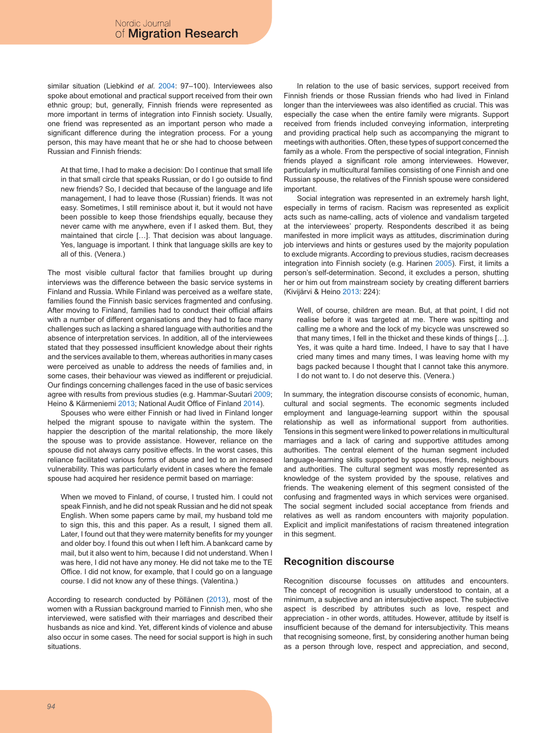similar situation (Liebkind *et al*. 2004: 97–100). Interviewees also spoke about emotional and practical support received from their own ethnic group; but, generally, Finnish friends were represented as more important in terms of integration into Finnish society. Usually, one friend was represented as an important person who made a significant difference during the integration process. For a young person, this may have meant that he or she had to choose between Russian and Finnish friends:

At that time, I had to make a decision: Do I continue that small life in that small circle that speaks Russian, or do I go outside to find new friends? So, I decided that because of the language and life management, I had to leave those (Russian) friends. It was not easy. Sometimes, I still reminisce about it, but it would not have been possible to keep those friendships equally, because they never came with me anywhere, even if I asked them. But, they maintained that circle […]. That decision was about language. Yes, language is important. I think that language skills are key to all of this. (Venera.)

The most visible cultural factor that families brought up during interviews was the difference between the basic service systems in Finland and Russia. While Finland was perceived as a welfare state, families found the Finnish basic services fragmented and confusing. After moving to Finland, families had to conduct their official affairs with a number of different organisations and they had to face many challenges such as lacking a shared language with authorities and the absence of interpretation services. In addition, all of the interviewees stated that they possessed insufficient knowledge about their rights and the services available to them, whereas authorities in many cases were perceived as unable to address the needs of families and, in some cases, their behaviour was viewed as indifferent or prejudicial. Our findings concerning challenges faced in the use of basic services agree with results from previous studies (e.g. Hammar-Suutari 2009; Heino & Kärmeniemi 2013; National Audit Office of Finland 2014).

Spouses who were either Finnish or had lived in Finland longer helped the migrant spouse to navigate within the system. The happier the description of the marital relationship, the more likely the spouse was to provide assistance. However, reliance on the spouse did not always carry positive effects. In the worst cases, this reliance facilitated various forms of abuse and led to an increased vulnerability. This was particularly evident in cases where the female spouse had acquired her residence permit based on marriage:

When we moved to Finland, of course, I trusted him. I could not speak Finnish, and he did not speak Russian and he did not speak English. When some papers came by mail, my husband told me to sign this, this and this paper. As a result, I signed them all. Later, I found out that they were maternity benefits for my younger and older boy. I found this out when I left him. A bankcard came by mail, but it also went to him, because I did not understand. When I was here, I did not have any money. He did not take me to the TE Office. I did not know, for example, that I could go on a language course. I did not know any of these things. (Valentina.)

According to research conducted by Pöllänen (2013), most of the women with a Russian background married to Finnish men, who she interviewed, were satisfied with their marriages and described their husbands as nice and kind. Yet, different kinds of violence and abuse also occur in some cases. The need for social support is high in such situations.

In relation to the use of basic services, support received from Finnish friends or those Russian friends who had lived in Finland longer than the interviewees was also identified as crucial. This was especially the case when the entire family were migrants. Support received from friends included conveying information, interpreting and providing practical help such as accompanying the migrant to meetings with authorities. Often, these types of support concerned the family as a whole. From the perspective of social integration, Finnish friends played a significant role among interviewees. However, particularly in multicultural families consisting of one Finnish and one Russian spouse, the relatives of the Finnish spouse were considered important.

Social integration was represented in an extremely harsh light, especially in terms of racism. Racism was represented as explicit acts such as name-calling, acts of violence and vandalism targeted at the interviewees' property. Respondents described it as being manifested in more implicit ways as attitudes, discrimination during job interviews and hints or gestures used by the majority population to exclude migrants. According to previous studies, racism decreases integration into Finnish society (e.g. Harinen 2005). First, it limits a person's self-determination. Second, it excludes a person, shutting her or him out from mainstream society by creating different barriers (Kivijärvi & Heino 2013: 224):

Well, of course, children are mean. But, at that point, I did not realise before it was targeted at me. There was spitting and calling me a whore and the lock of my bicycle was unscrewed so that many times, I fell in the thicket and these kinds of things […]. Yes, it was quite a hard time. Indeed, I have to say that I have cried many times and many times, I was leaving home with my bags packed because I thought that I cannot take this anymore. I do not want to. I do not deserve this. (Venera.)

In summary, the integration discourse consists of economic, human, cultural and social segments. The economic segments included employment and language-learning support within the spousal relationship as well as informational support from authorities. Tensions in this segment were linked to power relations in multicultural marriages and a lack of caring and supportive attitudes among authorities. The central element of the human segment included language-learning skills supported by spouses, friends, neighbours and authorities. The cultural segment was mostly represented as knowledge of the system provided by the spouse, relatives and friends. The weakening element of this segment consisted of the confusing and fragmented ways in which services were organised. The social segment included social acceptance from friends and relatives as well as random encounters with majority population. Explicit and implicit manifestations of racism threatened integration in this segment.

# **Recognition discourse**

Recognition discourse focusses on attitudes and encounters. The concept of recognition is usually understood to contain, at a minimum, a subjective and an intersubjective aspect. The subjective aspect is described by attributes such as love, respect and appreciation - in other words, attitudes. However, attitude by itself is insufficient because of the demand for intersubjectivity. This means that recognising someone, first, by considering another human being as a person through love, respect and appreciation, and second,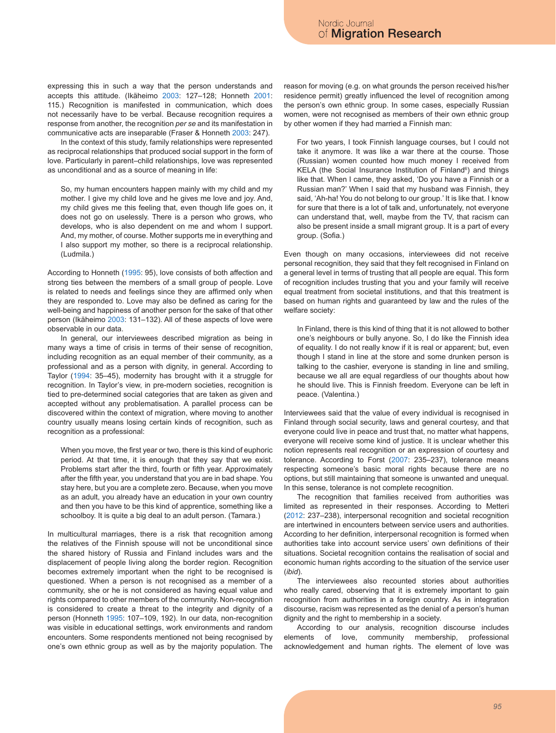expressing this in such a way that the person understands and accepts this attitude. (Ikäheimo 2003: 127–128; Honneth 2001: 115.) Recognition is manifested in communication, which does not necessarily have to be verbal. Because recognition requires a response from another, the recognition *per se* and its manifestation in communicative acts are inseparable (Fraser & Honneth 2003: 247).

In the context of this study, family relationships were represented as reciprocal relationships that produced social support in the form of love. Particularly in parent–child relationships, love was represented as unconditional and as a source of meaning in life:

So, my human encounters happen mainly with my child and my mother. I give my child love and he gives me love and joy. And, my child gives me this feeling that, even though life goes on, it does not go on uselessly. There is a person who grows, who develops, who is also dependent on me and whom I support. And, my mother, of course. Mother supports me in everything and I also support my mother, so there is a reciprocal relationship. (Ludmila.)

According to Honneth (1995: 95), love consists of both affection and strong ties between the members of a small group of people. Love is related to needs and feelings since they are affirmed only when they are responded to. Love may also be defined as caring for the well-being and happiness of another person for the sake of that other person (Ikäheimo 2003: 131–132). All of these aspects of love were observable in our data.

In general, our interviewees described migration as being in many ways a time of crisis in terms of their sense of recognition, including recognition as an equal member of their community, as a professional and as a person with dignity, in general. According to Taylor (1994: 35–45), modernity has brought with it a struggle for recognition. In Taylor's view, in pre-modern societies, recognition is tied to pre-determined social categories that are taken as given and accepted without any problematisation. A parallel process can be discovered within the context of migration, where moving to another country usually means losing certain kinds of recognition, such as recognition as a professional:

When you move, the first year or two, there is this kind of euphoric period. At that time, it is enough that they say that we exist. Problems start after the third, fourth or fifth year. Approximately after the fifth year, you understand that you are in bad shape. You stay here, but you are a complete zero. Because, when you move as an adult, you already have an education in your own country and then you have to be this kind of apprentice, something like a schoolboy. It is quite a big deal to an adult person. (Tamara.)

In multicultural marriages, there is a risk that recognition among the relatives of the Finnish spouse will not be unconditional since the shared history of Russia and Finland includes wars and the displacement of people living along the border region. Recognition becomes extremely important when the right to be recognised is questioned. When a person is not recognised as a member of a community, she or he is not considered as having equal value and rights compared to other members of the community. Non-recognition is considered to create a threat to the integrity and dignity of a person (Honneth 1995: 107–109, 192). In our data, non-recognition was visible in educational settings, work environments and random encounters. Some respondents mentioned not being recognised by one's own ethnic group as well as by the majority population. The

reason for moving (e.g. on what grounds the person received his/her residence permit) greatly influenced the level of recognition among the person's own ethnic group. In some cases, especially Russian women, were not recognised as members of their own ethnic group by other women if they had married a Finnish man:

For two years, I took Finnish language courses, but I could not take it anymore. It was like a war there at the course. Those (Russian) women counted how much money I received from KELA (the Social Insurance Institution of Finland<sup>6</sup>) and things like that. When I came, they asked, 'Do you have a Finnish or a Russian man?' When I said that my husband was Finnish, they said, 'Ah-ha! You do not belong to our group.' It is like that. I know for sure that there is a lot of talk and, unfortunately, not everyone can understand that, well, maybe from the TV, that racism can also be present inside a small migrant group. It is a part of every group. (Sofia.)

Even though on many occasions, interviewees did not receive personal recognition, they said that they felt recognised in Finland on a general level in terms of trusting that all people are equal. This form of recognition includes trusting that you and your family will receive equal treatment from societal institutions, and that this treatment is based on human rights and guaranteed by law and the rules of the welfare society:

In Finland, there is this kind of thing that it is not allowed to bother one's neighbours or bully anyone. So, I do like the Finnish idea of equality. I do not really know if it is real or apparent; but, even though I stand in line at the store and some drunken person is talking to the cashier, everyone is standing in line and smiling, because we all are equal regardless of our thoughts about how he should live. This is Finnish freedom. Everyone can be left in peace. (Valentina.)

Interviewees said that the value of every individual is recognised in Finland through social security, laws and general courtesy, and that everyone could live in peace and trust that, no matter what happens, everyone will receive some kind of justice. It is unclear whether this notion represents real recognition or an expression of courtesy and tolerance. According to Forst (2007: 235–237), tolerance means respecting someone's basic moral rights because there are no options, but still maintaining that someone is unwanted and unequal. In this sense, tolerance is not complete recognition.

The recognition that families received from authorities was limited as represented in their responses. According to Metteri (2012: 237–238), interpersonal recognition and societal recognition are intertwined in encounters between service users and authorities. According to her definition, interpersonal recognition is formed when authorities take into account service users' own definitions of their situations. Societal recognition contains the realisation of social and economic human rights according to the situation of the service user (*ibid*).

The interviewees also recounted stories about authorities who really cared, observing that it is extremely important to gain recognition from authorities in a foreign country. As in integration discourse, racism was represented as the denial of a person's human dignity and the right to membership in a society.

According to our analysis, recognition discourse includes elements of love, community membership, professional acknowledgement and human rights. The element of love was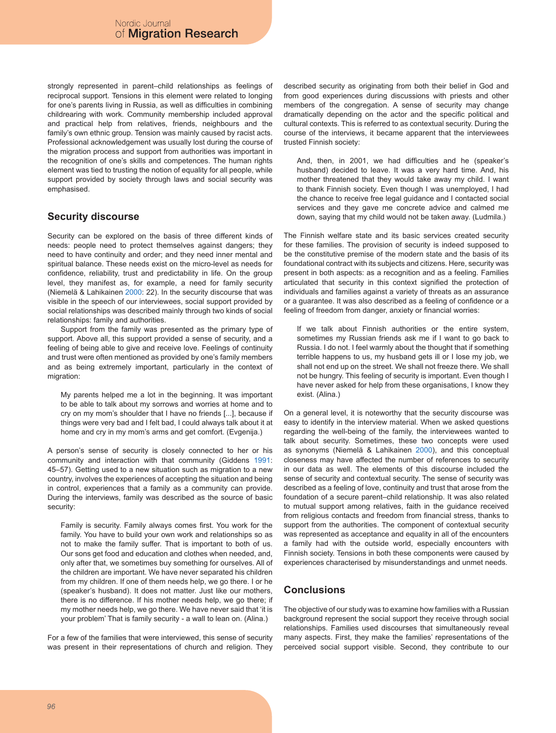strongly represented in parent–child relationships as feelings of reciprocal support. Tensions in this element were related to longing for one's parents living in Russia, as well as difficulties in combining childrearing with work. Community membership included approval and practical help from relatives, friends, neighbours and the family's own ethnic group. Tension was mainly caused by racist acts. Professional acknowledgement was usually lost during the course of the migration process and support from authorities was important in the recognition of one's skills and competences. The human rights element was tied to trusting the notion of equality for all people, while support provided by society through laws and social security was emphasised.

# **Security discourse**

Security can be explored on the basis of three different kinds of needs: people need to protect themselves against dangers; they need to have continuity and order; and they need inner mental and spiritual balance. These needs exist on the micro-level as needs for confidence, reliability, trust and predictability in life. On the group level, they manifest as, for example, a need for family security (Niemelä & Lahikainen 2000: 22). In the security discourse that was visible in the speech of our interviewees, social support provided by social relationships was described mainly through two kinds of social relationships: family and authorities.

Support from the family was presented as the primary type of support. Above all, this support provided a sense of security, and a feeling of being able to give and receive love. Feelings of continuity and trust were often mentioned as provided by one's family members and as being extremely important, particularly in the context of migration:

My parents helped me a lot in the beginning. It was important to be able to talk about my sorrows and worries at home and to cry on my mom's shoulder that I have no friends [...], because if things were very bad and I felt bad, I could always talk about it at home and cry in my mom's arms and get comfort. (Evgenija.)

A person's sense of security is closely connected to her or his community and interaction with that community (Giddens 1991: 45–57). Getting used to a new situation such as migration to a new country, involves the experiences of accepting the situation and being in control, experiences that a family as a community can provide. During the interviews, family was described as the source of basic security:

Family is security. Family always comes first. You work for the family. You have to build your own work and relationships so as not to make the family suffer. That is important to both of us. Our sons get food and education and clothes when needed, and, only after that, we sometimes buy something for ourselves. All of the children are important. We have never separated his children from my children. If one of them needs help, we go there. I or he (speaker's husband). It does not matter. Just like our mothers, there is no difference. If his mother needs help, we go there; if my mother needs help, we go there. We have never said that 'it is your problem' That is family security - a wall to lean on. (Alina.)

For a few of the families that were interviewed, this sense of security was present in their representations of church and religion. They described security as originating from both their belief in God and from good experiences during discussions with priests and other members of the congregation. A sense of security may change dramatically depending on the actor and the specific political and cultural contexts. This is referred to as contextual security. During the course of the interviews, it became apparent that the interviewees trusted Finnish society:

And, then, in 2001, we had difficulties and he (speaker's husband) decided to leave. It was a very hard time. And, his mother threatened that they would take away my child. I want to thank Finnish society. Even though I was unemployed, I had the chance to receive free legal guidance and I contacted social services and they gave me concrete advice and calmed me down, saying that my child would not be taken away. (Ludmila.)

The Finnish welfare state and its basic services created security for these families. The provision of security is indeed supposed to be the constitutive premise of the modern state and the basis of its foundational contract with its subjects and citizens. Here, security was present in both aspects: as a recognition and as a feeling. Families articulated that security in this context signified the protection of individuals and families against a variety of threats as an assurance or a guarantee. It was also described as a feeling of confidence or a feeling of freedom from danger, anxiety or financial worries:

If we talk about Finnish authorities or the entire system, sometimes my Russian friends ask me if I want to go back to Russia. I do not. I feel warmly about the thought that if something terrible happens to us, my husband gets ill or I lose my job, we shall not end up on the street. We shall not freeze there. We shall not be hungry. This feeling of security is important. Even though I have never asked for help from these organisations, I know they exist. (Alina.)

On a general level, it is noteworthy that the security discourse was easy to identify in the interview material. When we asked questions regarding the well-being of the family, the interviewees wanted to talk about security. Sometimes, these two concepts were used as synonyms (Niemelä & Lahikainen 2000), and this conceptual closeness may have affected the number of references to security in our data as well. The elements of this discourse included the sense of security and contextual security. The sense of security was described as a feeling of love, continuity and trust that arose from the foundation of a secure parent–child relationship. It was also related to mutual support among relatives, faith in the guidance received from religious contacts and freedom from financial stress, thanks to support from the authorities. The component of contextual security was represented as acceptance and equality in all of the encounters a family had with the outside world, especially encounters with Finnish society. Tensions in both these components were caused by experiences characterised by misunderstandings and unmet needs.

# **Conclusions**

The objective of our study was to examine how families with a Russian background represent the social support they receive through social relationships. Families used discourses that simultaneously reveal many aspects. First, they make the families' representations of the perceived social support visible. Second, they contribute to our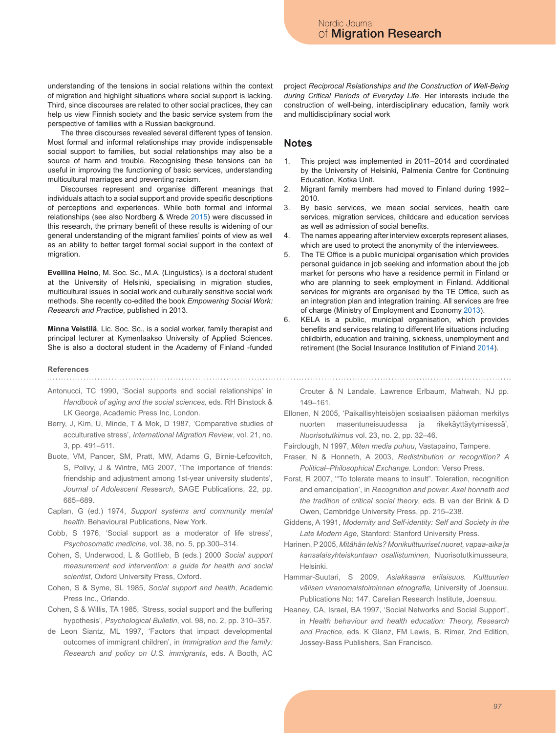understanding of the tensions in social relations within the context of migration and highlight situations where social support is lacking. Third, since discourses are related to other social practices, they can help us view Finnish society and the basic service system from the perspective of families with a Russian background.

The three discourses revealed several different types of tension. Most formal and informal relationships may provide indispensable social support to families, but social relationships may also be a source of harm and trouble. Recognising these tensions can be useful in improving the functioning of basic services, understanding multicultural marriages and preventing racism.

Discourses represent and organise different meanings that individuals attach to a social support and provide specific descriptions of perceptions and experiences. While both formal and informal relationships (see also Nordberg & Wrede 2015) were discussed in this research, the primary benefit of these results is widening of our general understanding of the migrant families' points of view as well as an ability to better target formal social support in the context of migration.

**Eveliina Heino**, M. Soc. Sc., M.A. (Linguistics), is a doctoral student at the University of Helsinki, specialising in migration studies, multicultural issues in social work and culturally sensitive social work methods. She recently co-edited the book *Empowering Social Work: Research and Practice*, published in 2013.

**Minna Veistilä**, Lic. Soc. Sc., is a social worker, family therapist and principal lecturer at Kymenlaakso University of Applied Sciences. She is also a doctoral student in the Academy of Finland -funded

# **References**

Antonucci, TC 1990, 'Social supports and social relationships' in *Handbook of aging and the social sciences,* eds. RH Binstock & LK George, Academic Press Inc, London.

- Berry, J, Kim, U, Minde, T & Mok, D 1987, 'Comparative studies of acculturative stress', *International Migration Review*, vol. 21, no. 3, pp. 491–511.
- Buote, VM, Pancer, SM, Pratt, MW, Adams G, Birnie-Lefcovitch, S, Polivy, J & Wintre, MG 2007, 'The importance of friends: friendship and adjustment among 1st-year university students', *Journal of Adolescent Research*, SAGE Publications, 22, pp. 665–689.
- Caplan, G (ed.) 1974, *Support systems and community mental health*. Behavioural Publications, New York.
- Cobb, S 1976, 'Social support as a moderator of life stress', *Psychosomatic medicine,* vol. 38, no. 5, pp*.*300–314.
- Cohen, S, Underwood, L & Gottlieb, B (eds.) 2000 *Social support measurement and intervention: a guide for health and social scientist*, Oxford University Press, Oxford.
- Cohen, S & Syme, SL 1985, *Social support and health*, Academic Press Inc., Orlando.
- Cohen, S & Willis, TA 1985, 'Stress, social support and the buffering hypothesis', *Psychological Bulletin*, vol. 98, no. 2, pp. 310–357.
- de Leon Siantz, ML 1997, 'Factors that impact developmental outcomes of immigrant children', in *Immigration and the family: Research and policy on U.S. immigrants*, eds. A Booth, AC

project *Reciprocal Relationships and the Construction of Well-Being during Critical Periods of Everyday Life*. Her interests include the construction of well-being, interdisciplinary education, family work and multidisciplinary social work

### **Notes**

- 1. This project was implemented in 2011–2014 and coordinated by the University of Helsinki, Palmenia Centre for Continuing Education, Kotka Unit.
- 2. Migrant family members had moved to Finland during 1992– 2010.
- 3. By basic services, we mean social services, health care services, migration services, childcare and education services as well as admission of social benefits.
- 4. The names appearing after interview excerpts represent aliases, which are used to protect the anonymity of the interviewees.
- 5. The TE Office is a public municipal organisation which provides personal guidance in job seeking and information about the job market for persons who have a residence permit in Finland or who are planning to seek employment in Finland. Additional services for migrants are organised by the TE Office, such as an integration plan and integration training. All services are free of charge (Ministry of Employment and Economy 2013).
- 6. KELA is a public, municipal organisation, which provides benefits and services relating to different life situations including childbirth, education and training, sickness, unemployment and retirement (the Social Insurance Institution of Finland 2014).

- Crouter & N Landale, Lawrence Erlbaum, Mahwah, NJ pp. 149–161.
- Ellonen, N 2005, 'Paikallisyhteisöjen sosiaalisen pääoman merkitys nuorten masentuneisuudessa ja rikekäyttäytymisessä', *Nuorisotutkimus* vol. 23, no. 2, pp. 32–46.

Fairclough, N 1997, *Miten media puhuu*, Vastapaino, Tampere.

- Fraser, N & Honneth, A 2003, *Redistribution or recognition? A Political–Philosophical Exchange*. London: Verso Press.
- Forst, R 2007, '"To tolerate means to insult". Toleration, recognition and emancipation', in *Recognition and power. Axel honneth and the tradition of critical social theory*, eds. B van der Brink & D Owen, Cambridge University Press, pp. 215–238.
- Giddens, A 1991, *Modernity and Self-identity: Self and Society in the Late Modern Age,* Stanford: Stanford University Press.
- Harinen, P 2005, *Mitähän tekis? Monikulttuuriset nuoret, vapaa-aika ja kansalaisyhteiskuntaan osallistuminen,* Nuorisotutkimusseura, Helsinki.

Hammar-Suutari, S 2009, *Asiakkaana erilaisuus. Kulttuurien välisen viranomaistoiminnan etnografia,* University of Joensuu. Publications No: 147. Carelian Research Institute, Joensuu.

Heaney, CA, Israel, BA 1997, 'Social Networks and Social Support', in *Health behaviour and health education: Theory, Research and Practice,* eds. K Glanz, FM Lewis, B. Rimer, 2nd Edition, Jossey-Bass Publishers, San Francisco.